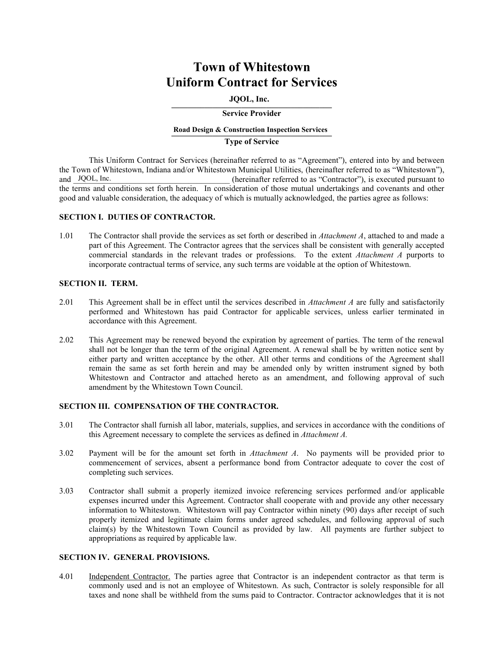# **Town of Whitestown Uniform Contract for Services**

#### $JQOL$ , inc. **JQOL, Inc.**

#### **Service Provider**

### **\_\_\_\_\_\_\_\_\_\_\_\_\_\_\_\_\_\_\_\_\_\_\_\_\_\_\_\_\_\_\_\_\_\_\_\_\_\_\_ Road Design & Construction Inspection Services**

#### **Type of Service**

This Uniform Contract for Services (hereinafter referred to as "Agreement"), entered into by and between the Town of Whitestown, Indiana and/or Whitestown Municipal Utilities, (hereinafter referred to as "Whitestown"), (hereinafter referred to as "Contractor"), is executed pursuant to the terms and conditions set forth herein. In consideration of those mutual undertakings and covenants and other good and valuable consideration, the adequacy of which is mutually acknowledged, the parties agree as follows: and JQOL, Inc.

#### **SECTION I. DUTIES OF CONTRACTOR.**

1.01 The Contractor shall provide the services as set forth or described in *Attachment A*, attached to and made a part of this Agreement. The Contractor agrees that the services shall be consistent with generally accepted commercial standards in the relevant trades or professions. To the extent *Attachment A* purports to incorporate contractual terms of service, any such terms are voidable at the option of Whitestown.

#### **SECTION II. TERM.**

- 2.01 This Agreement shall be in effect until the services described in *Attachment A* are fully and satisfactorily performed and Whitestown has paid Contractor for applicable services, unless earlier terminated in accordance with this Agreement.
- 2.02 This Agreement may be renewed beyond the expiration by agreement of parties. The term of the renewal shall not be longer than the term of the original Agreement. A renewal shall be by written notice sent by either party and written acceptance by the other. All other terms and conditions of the Agreement shall remain the same as set forth herein and may be amended only by written instrument signed by both Whitestown and Contractor and attached hereto as an amendment, and following approval of such amendment by the Whitestown Town Council.

#### **SECTION III. COMPENSATION OF THE CONTRACTOR.**

- 3.01 The Contractor shall furnish all labor, materials, supplies, and services in accordance with the conditions of this Agreement necessary to complete the services as defined in *Attachment A.*
- 3.02 Payment will be for the amount set forth in *Attachment A*. No payments will be provided prior to commencement of services, absent a performance bond from Contractor adequate to cover the cost of completing such services.
- 3.03 Contractor shall submit a properly itemized invoice referencing services performed and/or applicable expenses incurred under this Agreement. Contractor shall cooperate with and provide any other necessary information to Whitestown. Whitestown will pay Contractor within ninety (90) days after receipt of such properly itemized and legitimate claim forms under agreed schedules, and following approval of such claim(s) by the Whitestown Town Council as provided by law. All payments are further subject to appropriations as required by applicable law.

#### **SECTION IV. GENERAL PROVISIONS.**

4.01 Independent Contractor. The parties agree that Contractor is an independent contractor as that term is commonly used and is not an employee of Whitestown. As such, Contractor is solely responsible for all taxes and none shall be withheld from the sums paid to Contractor. Contractor acknowledges that it is not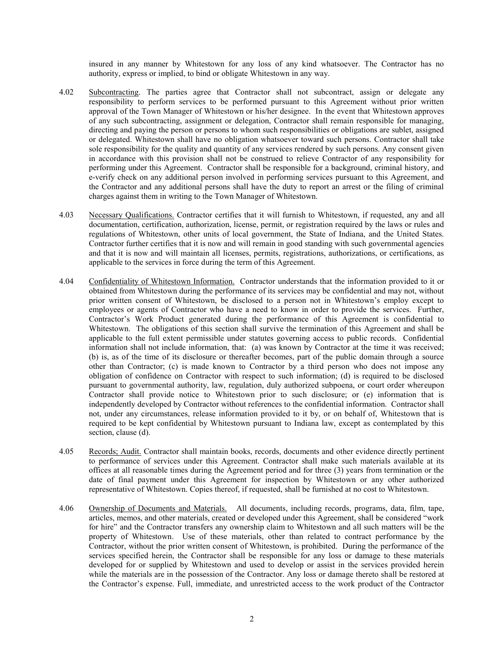insured in any manner by Whitestown for any loss of any kind whatsoever. The Contractor has no authority, express or implied, to bind or obligate Whitestown in any way.

- 4.02 Subcontracting. The parties agree that Contractor shall not subcontract, assign or delegate any responsibility to perform services to be performed pursuant to this Agreement without prior written approval of the Town Manager of Whitestown or his/her designee. In the event that Whitestown approves of any such subcontracting, assignment or delegation, Contractor shall remain responsible for managing, directing and paying the person or persons to whom such responsibilities or obligations are sublet, assigned or delegated. Whitestown shall have no obligation whatsoever toward such persons. Contractor shall take sole responsibility for the quality and quantity of any services rendered by such persons. Any consent given in accordance with this provision shall not be construed to relieve Contractor of any responsibility for performing under this Agreement. Contractor shall be responsible for a background, criminal history, and e-verify check on any additional person involved in performing services pursuant to this Agreement, and the Contractor and any additional persons shall have the duty to report an arrest or the filing of criminal charges against them in writing to the Town Manager of Whitestown.
- 4.03 Necessary Qualifications. Contractor certifies that it will furnish to Whitestown, if requested, any and all documentation, certification, authorization, license, permit, or registration required by the laws or rules and regulations of Whitestown, other units of local government, the State of Indiana, and the United States. Contractor further certifies that it is now and will remain in good standing with such governmental agencies and that it is now and will maintain all licenses, permits, registrations, authorizations, or certifications, as applicable to the services in force during the term of this Agreement.
- 4.04 Confidentiality of Whitestown Information. Contractor understands that the information provided to it or obtained from Whitestown during the performance of its services may be confidential and may not, without prior written consent of Whitestown, be disclosed to a person not in Whitestown's employ except to employees or agents of Contractor who have a need to know in order to provide the services. Further, Contractor's Work Product generated during the performance of this Agreement is confidential to Whitestown. The obligations of this section shall survive the termination of this Agreement and shall be applicable to the full extent permissible under statutes governing access to public records. Confidential information shall not include information, that: (a) was known by Contractor at the time it was received; (b) is, as of the time of its disclosure or thereafter becomes, part of the public domain through a source other than Contractor; (c) is made known to Contractor by a third person who does not impose any obligation of confidence on Contractor with respect to such information; (d) is required to be disclosed pursuant to governmental authority, law, regulation, duly authorized subpoena, or court order whereupon Contractor shall provide notice to Whitestown prior to such disclosure; or (e) information that is independently developed by Contractor without references to the confidential information. Contractor shall not, under any circumstances, release information provided to it by, or on behalf of, Whitestown that is required to be kept confidential by Whitestown pursuant to Indiana law, except as contemplated by this section, clause (d).
- 4.05 Records; Audit. Contractor shall maintain books, records, documents and other evidence directly pertinent to performance of services under this Agreement. Contractor shall make such materials available at its offices at all reasonable times during the Agreement period and for three (3) years from termination or the date of final payment under this Agreement for inspection by Whitestown or any other authorized representative of Whitestown. Copies thereof, if requested, shall be furnished at no cost to Whitestown.
- 4.06 Ownership of Documents and Materials. All documents, including records, programs, data, film, tape, articles, memos, and other materials, created or developed under this Agreement, shall be considered "work for hire" and the Contractor transfers any ownership claim to Whitestown and all such matters will be the property of Whitestown. Use of these materials, other than related to contract performance by the Contractor, without the prior written consent of Whitestown, is prohibited. During the performance of the services specified herein, the Contractor shall be responsible for any loss or damage to these materials developed for or supplied by Whitestown and used to develop or assist in the services provided herein while the materials are in the possession of the Contractor. Any loss or damage thereto shall be restored at the Contractor's expense. Full, immediate, and unrestricted access to the work product of the Contractor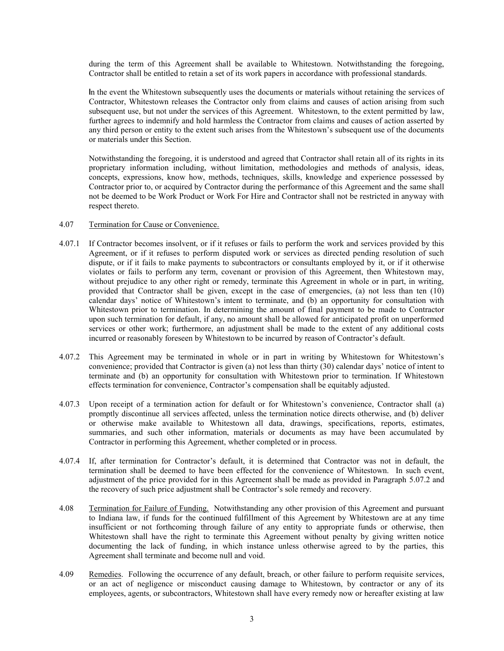during the term of this Agreement shall be available to Whitestown. Notwithstanding the foregoing, Contractor shall be entitled to retain a set of its work papers in accordance with professional standards.

**I**n the event the Whitestown subsequently uses the documents or materials without retaining the services of Contractor, Whitestown releases the Contractor only from claims and causes of action arising from such subsequent use, but not under the services of this Agreement. Whitestown, to the extent permitted by law, further agrees to indemnify and hold harmless the Contractor from claims and causes of action asserted by any third person or entity to the extent such arises from the Whitestown's subsequent use of the documents or materials under this Section.

Notwithstanding the foregoing, it is understood and agreed that Contractor shall retain all of its rights in its proprietary information including, without limitation, methodologies and methods of analysis, ideas, concepts, expressions, know how, methods, techniques, skills, knowledge and experience possessed by Contractor prior to, or acquired by Contractor during the performance of this Agreement and the same shall not be deemed to be Work Product or Work For Hire and Contractor shall not be restricted in anyway with respect thereto.

#### 4.07 Termination for Cause or Convenience.

- 4.07.1 If Contractor becomes insolvent, or if it refuses or fails to perform the work and services provided by this Agreement, or if it refuses to perform disputed work or services as directed pending resolution of such dispute, or if it fails to make payments to subcontractors or consultants employed by it, or if it otherwise violates or fails to perform any term, covenant or provision of this Agreement, then Whitestown may, without prejudice to any other right or remedy, terminate this Agreement in whole or in part, in writing, provided that Contractor shall be given, except in the case of emergencies, (a) not less than ten (10) calendar days' notice of Whitestown's intent to terminate, and (b) an opportunity for consultation with Whitestown prior to termination. In determining the amount of final payment to be made to Contractor upon such termination for default, if any, no amount shall be allowed for anticipated profit on unperformed services or other work; furthermore, an adjustment shall be made to the extent of any additional costs incurred or reasonably foreseen by Whitestown to be incurred by reason of Contractor's default.
- 4.07.2 This Agreement may be terminated in whole or in part in writing by Whitestown for Whitestown's convenience; provided that Contractor is given (a) not less than thirty (30) calendar days' notice of intent to terminate and (b) an opportunity for consultation with Whitestown prior to termination. If Whitestown effects termination for convenience, Contractor's compensation shall be equitably adjusted.
- 4.07.3 Upon receipt of a termination action for default or for Whitestown's convenience, Contractor shall (a) promptly discontinue all services affected, unless the termination notice directs otherwise, and (b) deliver or otherwise make available to Whitestown all data, drawings, specifications, reports, estimates, summaries, and such other information, materials or documents as may have been accumulated by Contractor in performing this Agreement, whether completed or in process.
- 4.07.4 If, after termination for Contractor's default, it is determined that Contractor was not in default, the termination shall be deemed to have been effected for the convenience of Whitestown. In such event, adjustment of the price provided for in this Agreement shall be made as provided in Paragraph 5.07.2 and the recovery of such price adjustment shall be Contractor's sole remedy and recovery.
- 4.08 Termination for Failure of Funding. Notwithstanding any other provision of this Agreement and pursuant to Indiana law, if funds for the continued fulfillment of this Agreement by Whitestown are at any time insufficient or not forthcoming through failure of any entity to appropriate funds or otherwise, then Whitestown shall have the right to terminate this Agreement without penalty by giving written notice documenting the lack of funding, in which instance unless otherwise agreed to by the parties, this Agreement shall terminate and become null and void.
- 4.09 Remedies. Following the occurrence of any default, breach, or other failure to perform requisite services, or an act of negligence or misconduct causing damage to Whitestown, by contractor or any of its employees, agents, or subcontractors, Whitestown shall have every remedy now or hereafter existing at law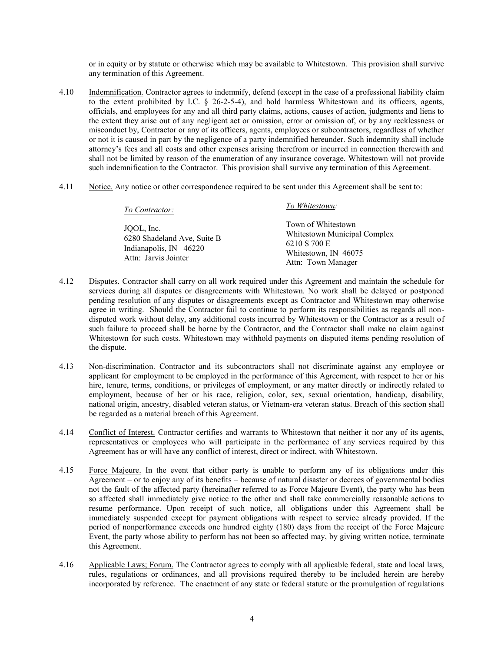or in equity or by statute or otherwise which may be available to Whitestown. This provision shall survive any termination of this Agreement.

- 4.10 Indemnification. Contractor agrees to indemnify, defend (except in the case of a professional liability claim to the extent prohibited by I.C. § 26-2-5-4), and hold harmless Whitestown and its officers, agents, officials, and employees for any and all third party claims, actions, causes of action, judgments and liens to the extent they arise out of any negligent act or omission, error or omission of, or by any recklessness or misconduct by, Contractor or any of its officers, agents, employees or subcontractors, regardless of whether or not it is caused in part by the negligence of a party indemnified hereunder. Such indemnity shall include attorney's fees and all costs and other expenses arising therefrom or incurred in connection therewith and shall not be limited by reason of the enumeration of any insurance coverage. Whitestown will not provide such indemnification to the Contractor. This provision shall survive any termination of this Agreement.
- 4.11 Notice. Any notice or other correspondence required to be sent under this Agreement shall be sent to:

| To Contractor:                                                                              | To Whitestown:                                                                                                   |
|---------------------------------------------------------------------------------------------|------------------------------------------------------------------------------------------------------------------|
| JOOL, Inc.<br>6280 Shadeland Ave, Suite B<br>Indianapolis, IN 46220<br>Attn: Jarvis Jointer | Town of Whitestown<br>Whitestown Municipal Complex<br>6210 S 700 E<br>Whitestown, IN 46075<br>Attn: Town Manager |

- 4.12 Disputes. Contractor shall carry on all work required under this Agreement and maintain the schedule for services during all disputes or disagreements with Whitestown. No work shall be delayed or postponed pending resolution of any disputes or disagreements except as Contractor and Whitestown may otherwise agree in writing. Should the Contractor fail to continue to perform its responsibilities as regards all nondisputed work without delay, any additional costs incurred by Whitestown or the Contractor as a result of such failure to proceed shall be borne by the Contractor, and the Contractor shall make no claim against Whitestown for such costs. Whitestown may withhold payments on disputed items pending resolution of the dispute.
- 4.13 Non-discrimination. Contractor and its subcontractors shall not discriminate against any employee or applicant for employment to be employed in the performance of this Agreement, with respect to her or his hire, tenure, terms, conditions, or privileges of employment, or any matter directly or indirectly related to employment, because of her or his race, religion, color, sex, sexual orientation, handicap, disability, national origin, ancestry, disabled veteran status, or Vietnam-era veteran status. Breach of this section shall be regarded as a material breach of this Agreement.
- 4.14 Conflict of Interest. Contractor certifies and warrants to Whitestown that neither it nor any of its agents, representatives or employees who will participate in the performance of any services required by this Agreement has or will have any conflict of interest, direct or indirect, with Whitestown.
- 4.15 Force Majeure. In the event that either party is unable to perform any of its obligations under this Agreement – or to enjoy any of its benefits – because of natural disaster or decrees of governmental bodies not the fault of the affected party (hereinafter referred to as Force Majeure Event), the party who has been so affected shall immediately give notice to the other and shall take commercially reasonable actions to resume performance. Upon receipt of such notice, all obligations under this Agreement shall be immediately suspended except for payment obligations with respect to service already provided. If the period of nonperformance exceeds one hundred eighty (180) days from the receipt of the Force Majeure Event, the party whose ability to perform has not been so affected may, by giving written notice, terminate this Agreement.
- 4.16 Applicable Laws; Forum. The Contractor agrees to comply with all applicable federal, state and local laws, rules, regulations or ordinances, and all provisions required thereby to be included herein are hereby incorporated by reference. The enactment of any state or federal statute or the promulgation of regulations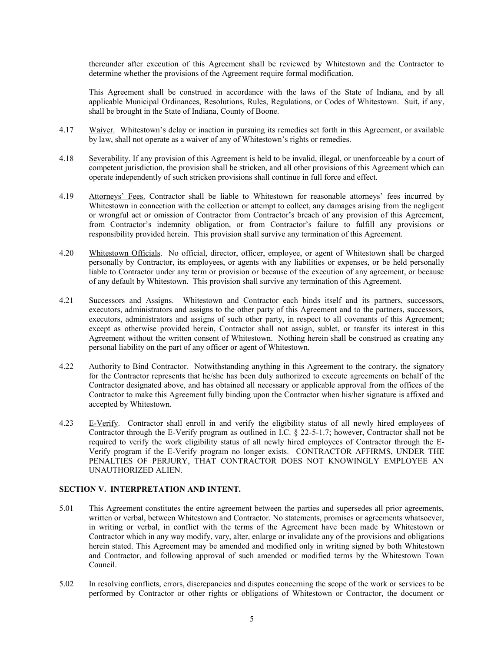thereunder after execution of this Agreement shall be reviewed by Whitestown and the Contractor to determine whether the provisions of the Agreement require formal modification.

This Agreement shall be construed in accordance with the laws of the State of Indiana, and by all applicable Municipal Ordinances, Resolutions, Rules, Regulations, or Codes of Whitestown. Suit, if any, shall be brought in the State of Indiana, County of Boone.

- 4.17 Waiver. Whitestown's delay or inaction in pursuing its remedies set forth in this Agreement, or available by law, shall not operate as a waiver of any of Whitestown's rights or remedies.
- 4.18 Severability. If any provision of this Agreement is held to be invalid, illegal, or unenforceable by a court of competent jurisdiction, the provision shall be stricken, and all other provisions of this Agreement which can operate independently of such stricken provisions shall continue in full force and effect.
- 4.19 Attorneys' Fees. Contractor shall be liable to Whitestown for reasonable attorneys' fees incurred by Whitestown in connection with the collection or attempt to collect, any damages arising from the negligent or wrongful act or omission of Contractor from Contractor's breach of any provision of this Agreement, from Contractor's indemnity obligation, or from Contractor's failure to fulfill any provisions or responsibility provided herein. This provision shall survive any termination of this Agreement.
- 4.20 Whitestown Officials. No official, director, officer, employee, or agent of Whitestown shall be charged personally by Contractor, its employees, or agents with any liabilities or expenses, or be held personally liable to Contractor under any term or provision or because of the execution of any agreement, or because of any default by Whitestown. This provision shall survive any termination of this Agreement.
- 4.21 Successors and Assigns. Whitestown and Contractor each binds itself and its partners, successors, executors, administrators and assigns to the other party of this Agreement and to the partners, successors, executors, administrators and assigns of such other party, in respect to all covenants of this Agreement; except as otherwise provided herein, Contractor shall not assign, sublet, or transfer its interest in this Agreement without the written consent of Whitestown. Nothing herein shall be construed as creating any personal liability on the part of any officer or agent of Whitestown.
- 4.22 Authority to Bind Contractor. Notwithstanding anything in this Agreement to the contrary, the signatory for the Contractor represents that he/she has been duly authorized to execute agreements on behalf of the Contractor designated above, and has obtained all necessary or applicable approval from the offices of the Contractor to make this Agreement fully binding upon the Contractor when his/her signature is affixed and accepted by Whitestown.
- 4.23 E-Verify. Contractor shall enroll in and verify the eligibility status of all newly hired employees of Contractor through the E-Verify program as outlined in I.C. § 22-5-1.7; however, Contractor shall not be required to verify the work eligibility status of all newly hired employees of Contractor through the E-Verify program if the E-Verify program no longer exists. CONTRACTOR AFFIRMS, UNDER THE PENALTIES OF PERJURY, THAT CONTRACTOR DOES NOT KNOWINGLY EMPLOYEE AN UNAUTHORIZED ALIEN.

#### **SECTION V. INTERPRETATION AND INTENT.**

- 5.01 This Agreement constitutes the entire agreement between the parties and supersedes all prior agreements, written or verbal, between Whitestown and Contractor. No statements, promises or agreements whatsoever, in writing or verbal, in conflict with the terms of the Agreement have been made by Whitestown or Contractor which in any way modify, vary, alter, enlarge or invalidate any of the provisions and obligations herein stated. This Agreement may be amended and modified only in writing signed by both Whitestown and Contractor, and following approval of such amended or modified terms by the Whitestown Town Council.
- 5.02 In resolving conflicts, errors, discrepancies and disputes concerning the scope of the work or services to be performed by Contractor or other rights or obligations of Whitestown or Contractor, the document or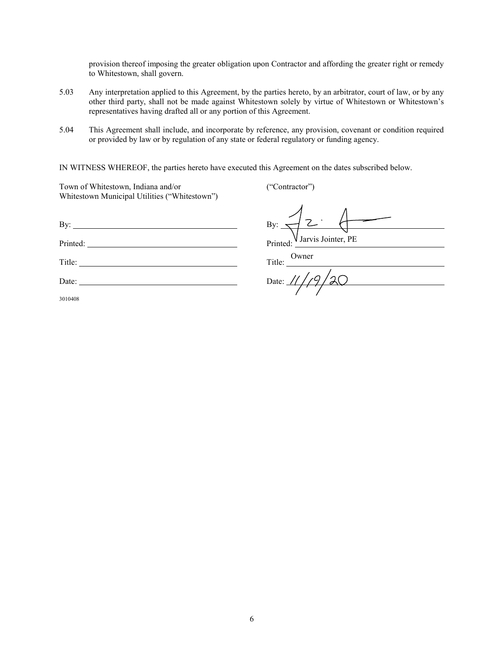provision thereof imposing the greater obligation upon Contractor and affording the greater right or remedy to Whitestown, shall govern.

- 5.03 Any interpretation applied to this Agreement, by the parties hereto, by an arbitrator, court of law, or by any other third party, shall not be made against Whitestown solely by virtue of Whitestown or Whitestown's representatives having drafted all or any portion of this Agreement.
- 5.04 This Agreement shall include, and incorporate by reference, any provision, covenant or condition required or provided by law or by regulation of any state or federal regulatory or funding agency.

IN WITNESS WHEREOF, the parties hereto have executed this Agreement on the dates subscribed below.

Town of Whitestown, Indiana and/or ("Contractor") Whitestown Municipal Utilities ("Whitestown")

By: By: Printed: Printed: Printed: Printed: Printed: Printed: Printed: Printed: Printed: Printed: Printed: Printed: Printed: Printed: Printed: Printed: Printed: Printed: Printed: Printed: Printed: Printed: Printed: Printed: Printe Title: Title: Title: Title: Title: Title: Title: Title: Title: Title: Title: Title: Title: Title: Title: Title: Title: Title: Title: Title: Title: Title: Title: Title: Title: Title: Title: Title: Title: Title: Title: Title Date: Date: Date:

3010408

Jarvis Jointer, PE

Owner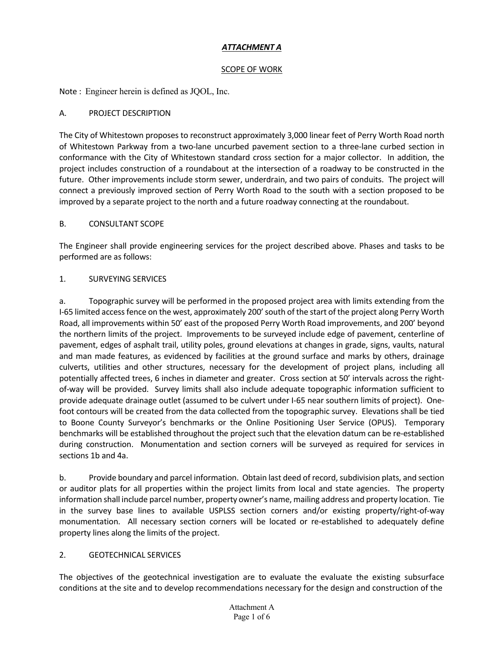### *ATTACHMENT A*

#### SCOPE OF WORK

Note : Engineer herein is defined as JQOL, Inc.

### A. PROJECT DESCRIPTION

The City of Whitestown proposes to reconstruct approximately 3,000 linear feet of Perry Worth Road north of Whitestown Parkway from a two-lane uncurbed pavement section to a three-lane curbed section in conformance with the City of Whitestown standard cross section for a major collector. In addition, the project includes construction of a roundabout at the intersection of a roadway to be constructed in the future. Other improvements include storm sewer, underdrain, and two pairs of conduits. The project will connect a previously improved section of Perry Worth Road to the south with a section proposed to be improved by a separate project to the north and a future roadway connecting at the roundabout.

### B. CONSULTANT SCOPE

The Engineer shall provide engineering services for the project described above. Phases and tasks to be performed are as follows:

### 1. SURVEYING SERVICES

a. Topographic survey will be performed in the proposed project area with limits extending from the I-65 limited access fence on the west, approximately 200' south of the start of the project along Perry Worth Road, all improvements within 50' east of the proposed Perry Worth Road improvements, and 200' beyond the northern limits of the project. Improvements to be surveyed include edge of pavement, centerline of pavement, edges of asphalt trail, utility poles, ground elevations at changes in grade, signs, vaults, natural and man made features, as evidenced by facilities at the ground surface and marks by others, drainage culverts, utilities and other structures, necessary for the development of project plans, including all potentially affected trees, 6 inches in diameter and greater. Cross section at 50' intervals across the rightof-way will be provided. Survey limits shall also include adequate topographic information sufficient to provide adequate drainage outlet (assumed to be culvert under I-65 near southern limits of project). Onefoot contours will be created from the data collected from the topographic survey. Elevations shall be tied to Boone County Surveyor's benchmarks or the Online Positioning User Service (OPUS). Temporary benchmarks will be established throughout the project such that the elevation datum can be re-established during construction. Monumentation and section corners will be surveyed as required for services in sections 1b and 4a.

b. Provide boundary and parcel information. Obtain last deed of record, subdivision plats, and section or auditor plats for all properties within the project limits from local and state agencies. The property information shall include parcel number, property owner's name, mailing address and property location. Tie in the survey base lines to available USPLSS section corners and/or existing property/right-of-way monumentation. All necessary section corners will be located or re-established to adequately define property lines along the limits of the project.

### 2. GEOTECHNICAL SERVICES

The objectives of the geotechnical investigation are to evaluate the evaluate the existing subsurface conditions at the site and to develop recommendations necessary for the design and construction of the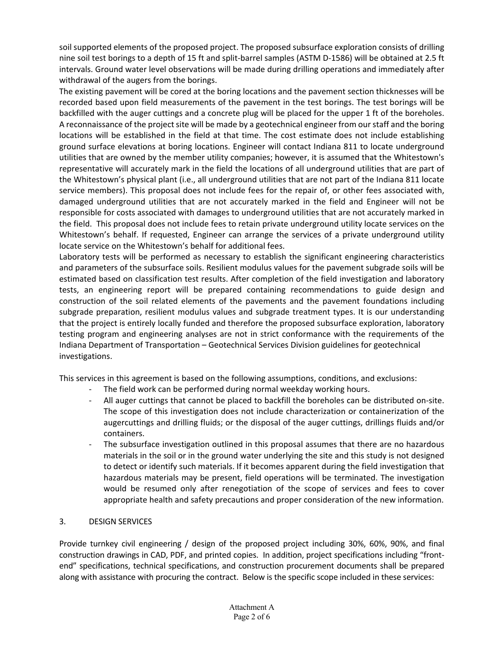soil supported elements of the proposed project. The proposed subsurface exploration consists of drilling nine soil test borings to a depth of 15 ft and split-barrel samples (ASTM D-1586) will be obtained at 2.5 ft intervals. Ground water level observations will be made during drilling operations and immediately after withdrawal of the augers from the borings.

The existing pavement will be cored at the boring locations and the pavement section thicknesses will be recorded based upon field measurements of the pavement in the test borings. The test borings will be backfilled with the auger cuttings and a concrete plug will be placed for the upper 1 ft of the boreholes. A reconnaissance of the project site will be made by a geotechnical engineer from our staff and the boring locations will be established in the field at that time. The cost estimate does not include establishing ground surface elevations at boring locations. Engineer will contact Indiana 811 to locate underground utilities that are owned by the member utility companies; however, it is assumed that the Whitestown's representative will accurately mark in the field the locations of all underground utilities that are part of the Whitestown's physical plant (i.e., all underground utilities that are not part of the Indiana 811 locate service members). This proposal does not include fees for the repair of, or other fees associated with, damaged underground utilities that are not accurately marked in the field and Engineer will not be responsible for costs associated with damages to underground utilities that are not accurately marked in the field. This proposal does not include fees to retain private underground utility locate services on the Whitestown's behalf. If requested, Engineer can arrange the services of a private underground utility locate service on the Whitestown's behalf for additional fees.

Laboratory tests will be performed as necessary to establish the significant engineering characteristics and parameters of the subsurface soils. Resilient modulus values for the pavement subgrade soils will be estimated based on classification test results. After completion of the field investigation and laboratory tests, an engineering report will be prepared containing recommendations to guide design and construction of the soil related elements of the pavements and the pavement foundations including subgrade preparation, resilient modulus values and subgrade treatment types. It is our understanding that the project is entirely locally funded and therefore the proposed subsurface exploration, laboratory testing program and engineering analyses are not in strict conformance with the requirements of the Indiana Department of Transportation – Geotechnical Services Division guidelines for geotechnical investigations.

This services in this agreement is based on the following assumptions, conditions, and exclusions:

- The field work can be performed during normal weekday working hours.
- All auger cuttings that cannot be placed to backfill the boreholes can be distributed on-site. The scope of this investigation does not include characterization or containerization of the augercuttings and drilling fluids; or the disposal of the auger cuttings, drillings fluids and/or containers.
- The subsurface investigation outlined in this proposal assumes that there are no hazardous materials in the soil or in the ground water underlying the site and this study is not designed to detect or identify such materials. If it becomes apparent during the field investigation that hazardous materials may be present, field operations will be terminated. The investigation would be resumed only after renegotiation of the scope of services and fees to cover appropriate health and safety precautions and proper consideration of the new information.

### 3. DESIGN SERVICES

Provide turnkey civil engineering / design of the proposed project including 30%, 60%, 90%, and final construction drawings in CAD, PDF, and printed copies. In addition, project specifications including "frontend" specifications, technical specifications, and construction procurement documents shall be prepared along with assistance with procuring the contract. Below is the specific scope included in these services: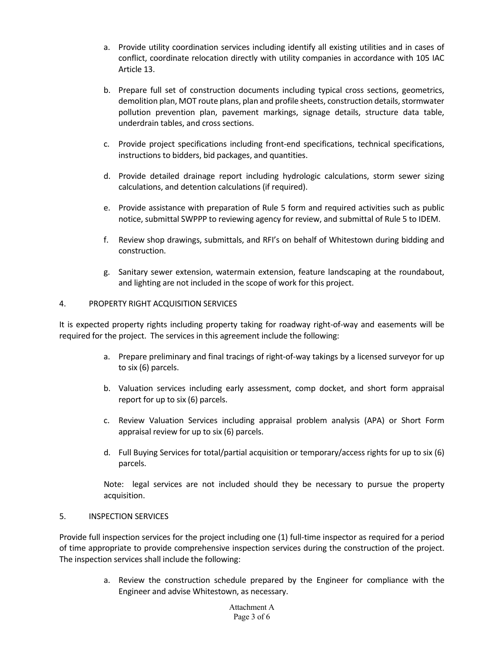- a. Provide utility coordination services including identify all existing utilities and in cases of conflict, coordinate relocation directly with utility companies in accordance with 105 IAC Article 13.
- b. Prepare full set of construction documents including typical cross sections, geometrics, demolition plan, MOT route plans, plan and profile sheets, construction details, stormwater pollution prevention plan, pavement markings, signage details, structure data table, underdrain tables, and cross sections.
- c. Provide project specifications including front-end specifications, technical specifications, instructions to bidders, bid packages, and quantities.
- d. Provide detailed drainage report including hydrologic calculations, storm sewer sizing calculations, and detention calculations (if required).
- e. Provide assistance with preparation of Rule 5 form and required activities such as public notice, submittal SWPPP to reviewing agency for review, and submittal of Rule 5 to IDEM.
- f. Review shop drawings, submittals, and RFI's on behalf of Whitestown during bidding and construction.
- g. Sanitary sewer extension, watermain extension, feature landscaping at the roundabout, and lighting are not included in the scope of work for this project.

### 4. PROPERTY RIGHT ACQUISITION SERVICES

It is expected property rights including property taking for roadway right-of-way and easements will be required for the project. The services in this agreement include the following:

- a. Prepare preliminary and final tracings of right-of-way takings by a licensed surveyor for up to six (6) parcels.
- b. Valuation services including early assessment, comp docket, and short form appraisal report for up to six (6) parcels.
- c. Review Valuation Services including appraisal problem analysis (APA) or Short Form appraisal review for up to six (6) parcels.
- d. Full Buying Services for total/partial acquisition or temporary/access rights for up to six (6) parcels.

Note: legal services are not included should they be necessary to pursue the property acquisition.

#### 5. INSPECTION SERVICES

Provide full inspection services for the project including one (1) full-time inspector as required for a period of time appropriate to provide comprehensive inspection services during the construction of the project. The inspection services shall include the following:

> a. Review the construction schedule prepared by the Engineer for compliance with the Engineer and advise Whitestown, as necessary.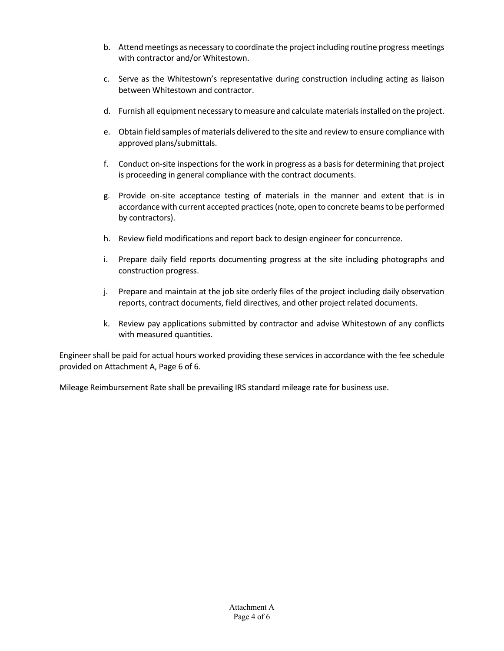- b. Attend meetings as necessary to coordinate the project including routine progress meetings with contractor and/or Whitestown.
- c. Serve as the Whitestown's representative during construction including acting as liaison between Whitestown and contractor.
- d. Furnish all equipment necessary to measure and calculate materials installed on the project.
- e. Obtain field samples of materials delivered to the site and review to ensure compliance with approved plans/submittals.
- f. Conduct on-site inspections for the work in progress as a basis for determining that project is proceeding in general compliance with the contract documents.
- g. Provide on-site acceptance testing of materials in the manner and extent that is in accordance with current accepted practices (note, open to concrete beams to be performed by contractors).
- h. Review field modifications and report back to design engineer for concurrence.
- i. Prepare daily field reports documenting progress at the site including photographs and construction progress.
- j. Prepare and maintain at the job site orderly files of the project including daily observation reports, contract documents, field directives, and other project related documents.
- k. Review pay applications submitted by contractor and advise Whitestown of any conflicts with measured quantities.

Engineer shall be paid for actual hours worked providing these services in accordance with the fee schedule provided on Attachment A, Page 6 of 6.

Mileage Reimbursement Rate shall be prevailing IRS standard mileage rate for business use.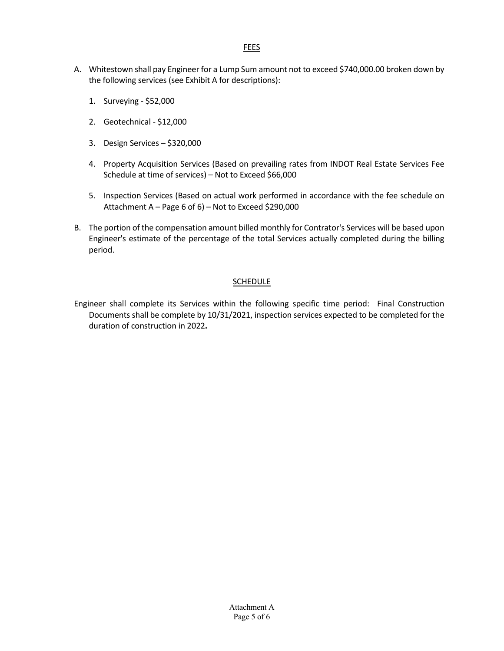- A. Whitestown shall pay Engineer for a Lump Sum amount not to exceed \$740,000.00 broken down by the following services (see Exhibit A for descriptions):
	- 1. Surveying \$52,000
	- 2. Geotechnical \$12,000
	- 3. Design Services \$320,000
	- 4. Property Acquisition Services (Based on prevailing rates from INDOT Real Estate Services Fee Schedule at time of services) – Not to Exceed \$66,000
	- 5. Inspection Services (Based on actual work performed in accordance with the fee schedule on Attachment A – Page 6 of 6) – Not to Exceed \$290,000
- B. The portion of the compensation amount billed monthly for Contrator's Services will be based upon Engineer's estimate of the percentage of the total Services actually completed during the billing period.

### **SCHEDULE**

Engineer shall complete its Services within the following specific time period: Final Construction Documents shall be complete by 10/31/2021, inspection services expected to be completed for the duration of construction in 2022**.**